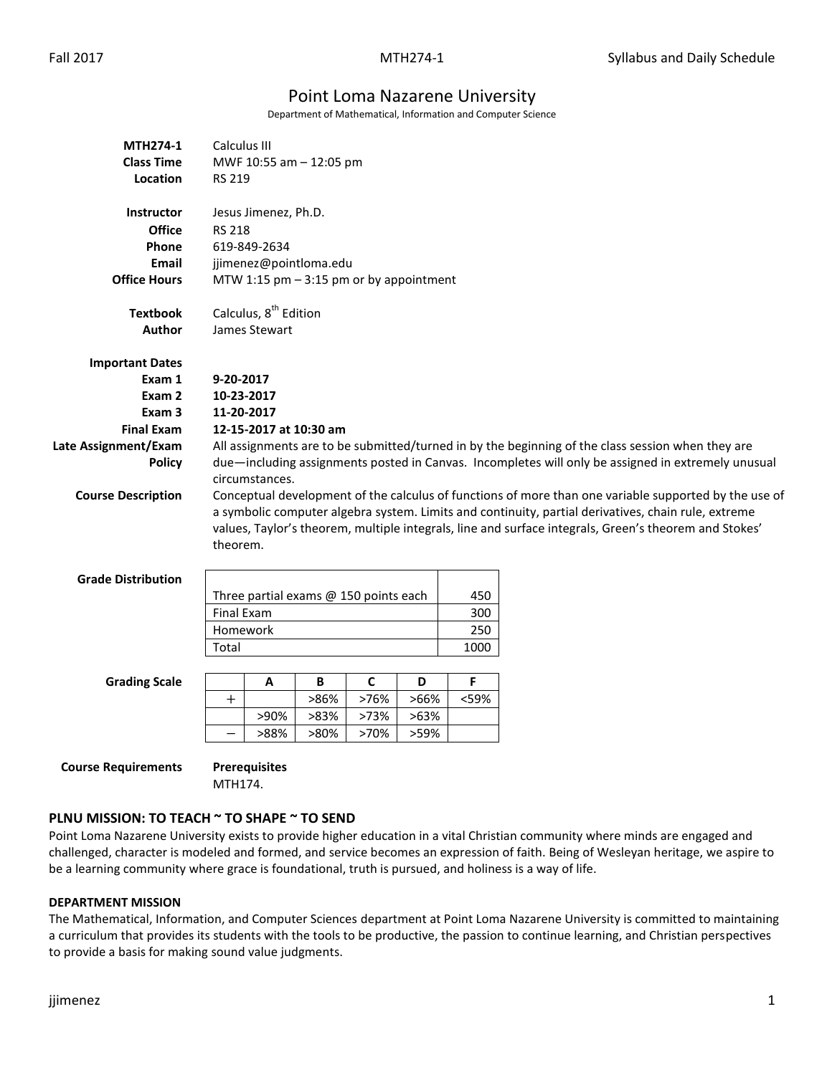# Point Loma Nazarene University

Department of Mathematical, Information and Computer Science

| <b>MTH274-1</b>            | Calculus III                                                                                          |                      |      |             |      |             |                                                                                                       |  |  |  |  |
|----------------------------|-------------------------------------------------------------------------------------------------------|----------------------|------|-------------|------|-------------|-------------------------------------------------------------------------------------------------------|--|--|--|--|
| <b>Class Time</b>          | MWF 10:55 am - 12:05 pm                                                                               |                      |      |             |      |             |                                                                                                       |  |  |  |  |
| Location                   | <b>RS 219</b>                                                                                         |                      |      |             |      |             |                                                                                                       |  |  |  |  |
| <b>Instructor</b>          |                                                                                                       |                      |      |             |      |             |                                                                                                       |  |  |  |  |
| <b>Office</b>              | Jesus Jimenez, Ph.D.<br><b>RS 218</b>                                                                 |                      |      |             |      |             |                                                                                                       |  |  |  |  |
| Phone                      | 619-849-2634                                                                                          |                      |      |             |      |             |                                                                                                       |  |  |  |  |
| Email                      | jjimenez@pointloma.edu                                                                                |                      |      |             |      |             |                                                                                                       |  |  |  |  |
| <b>Office Hours</b>        | MTW 1:15 pm $-$ 3:15 pm or by appointment                                                             |                      |      |             |      |             |                                                                                                       |  |  |  |  |
|                            |                                                                                                       |                      |      |             |      |             |                                                                                                       |  |  |  |  |
| <b>Textbook</b>            | Calculus, 8 <sup>th</sup> Edition                                                                     |                      |      |             |      |             |                                                                                                       |  |  |  |  |
| Author                     | James Stewart                                                                                         |                      |      |             |      |             |                                                                                                       |  |  |  |  |
| <b>Important Dates</b>     |                                                                                                       |                      |      |             |      |             |                                                                                                       |  |  |  |  |
| Exam 1                     | 9-20-2017                                                                                             |                      |      |             |      |             |                                                                                                       |  |  |  |  |
| Exam 2                     | 10-23-2017                                                                                            |                      |      |             |      |             |                                                                                                       |  |  |  |  |
| Exam 3                     | 11-20-2017                                                                                            |                      |      |             |      |             |                                                                                                       |  |  |  |  |
| <b>Final Exam</b>          | 12-15-2017 at 10:30 am                                                                                |                      |      |             |      |             |                                                                                                       |  |  |  |  |
| Late Assignment/Exam       | All assignments are to be submitted/turned in by the beginning of the class session when they are     |                      |      |             |      |             |                                                                                                       |  |  |  |  |
| <b>Policy</b>              | due—including assignments posted in Canvas. Incompletes will only be assigned in extremely unusual    |                      |      |             |      |             |                                                                                                       |  |  |  |  |
|                            |                                                                                                       | circumstances.       |      |             |      |             |                                                                                                       |  |  |  |  |
| <b>Course Description</b>  |                                                                                                       |                      |      |             |      |             | Conceptual development of the calculus of functions of more than one variable supported by the use of |  |  |  |  |
|                            |                                                                                                       |                      |      |             |      |             | a symbolic computer algebra system. Limits and continuity, partial derivatives, chain rule, extreme   |  |  |  |  |
|                            | values, Taylor's theorem, multiple integrals, line and surface integrals, Green's theorem and Stokes' |                      |      |             |      |             |                                                                                                       |  |  |  |  |
|                            | theorem.                                                                                              |                      |      |             |      |             |                                                                                                       |  |  |  |  |
| <b>Grade Distribution</b>  |                                                                                                       |                      |      |             |      |             |                                                                                                       |  |  |  |  |
|                            | Three partial exams @ 150 points each<br>450                                                          |                      |      |             |      |             |                                                                                                       |  |  |  |  |
|                            | <b>Final Exam</b><br>300                                                                              |                      |      |             |      |             |                                                                                                       |  |  |  |  |
|                            | Homework                                                                                              |                      |      |             |      |             |                                                                                                       |  |  |  |  |
|                            | Total                                                                                                 |                      |      |             |      | 250<br>1000 |                                                                                                       |  |  |  |  |
|                            |                                                                                                       | A                    | B    | $\mathbf c$ | D    | F           |                                                                                                       |  |  |  |  |
| <b>Grading Scale</b>       | $\ddot{}$                                                                                             |                      | >86% | >76%        | >66% | <59%        |                                                                                                       |  |  |  |  |
|                            |                                                                                                       | >90%                 | >83% | >73%        | >63% |             |                                                                                                       |  |  |  |  |
|                            | $\overline{\phantom{0}}$                                                                              | >88%                 | >80% | >70%        | >59% |             |                                                                                                       |  |  |  |  |
|                            |                                                                                                       |                      |      |             |      |             |                                                                                                       |  |  |  |  |
| <b>Course Requirements</b> |                                                                                                       | <b>Prerequisites</b> |      |             |      |             |                                                                                                       |  |  |  |  |
|                            | MTH174.                                                                                               |                      |      |             |      |             |                                                                                                       |  |  |  |  |
|                            |                                                                                                       |                      |      |             |      |             |                                                                                                       |  |  |  |  |

# **PLNU MISSION: TO TEACH ~ TO SHAPE ~ TO SEND**

Point Loma Nazarene University exists to provide higher education in a vital Christian community where minds are engaged and challenged, character is modeled and formed, and service becomes an expression of faith. Being of Wesleyan heritage, we aspire to be a learning community where grace is foundational, truth is pursued, and holiness is a way of life.

#### **DEPARTMENT MISSION**

The Mathematical, Information, and Computer Sciences department at Point Loma Nazarene University is committed to maintaining a curriculum that provides its students with the tools to be productive, the passion to continue learning, and Christian perspectives to provide a basis for making sound value judgments.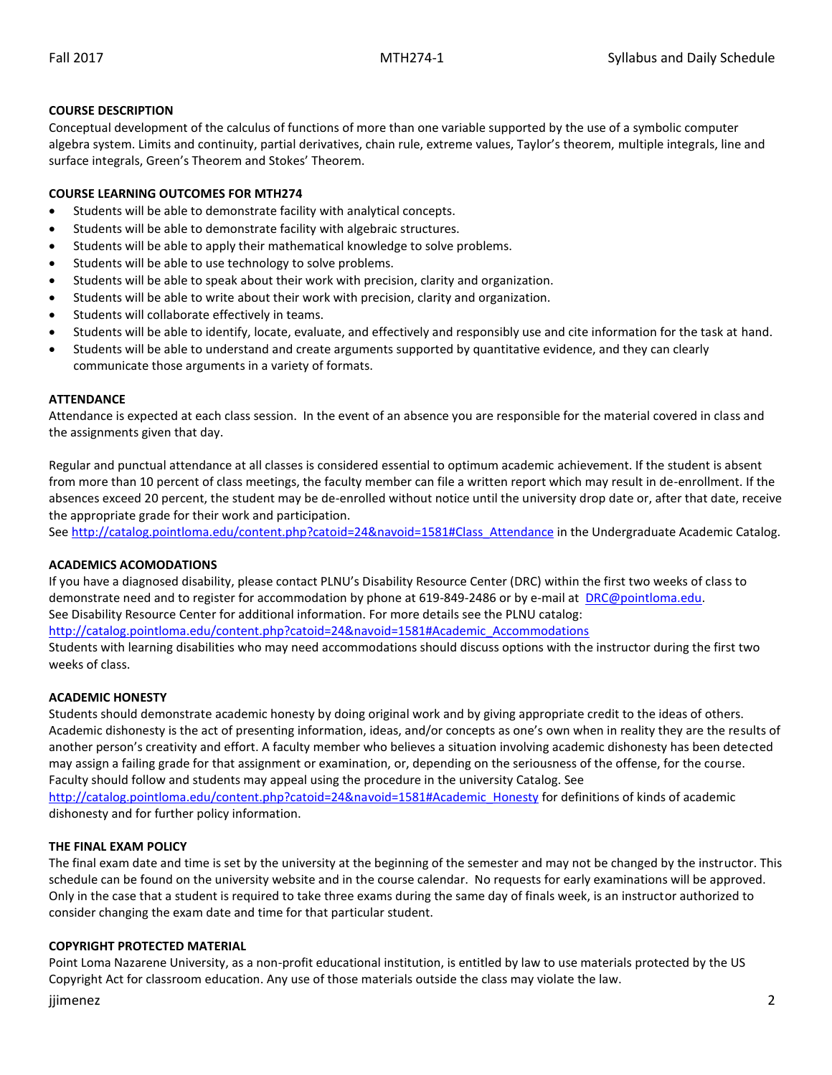### **COURSE DESCRIPTION**

Conceptual development of the calculus of functions of more than one variable supported by the use of a symbolic computer algebra system. Limits and continuity, partial derivatives, chain rule, extreme values, Taylor's theorem, multiple integrals, line and surface integrals, Green's Theorem and Stokes' Theorem.

### **COURSE LEARNING OUTCOMES FOR MTH274**

- Students will be able to demonstrate facility with analytical concepts.
- Students will be able to demonstrate facility with algebraic structures.
- Students will be able to apply their mathematical knowledge to solve problems.
- Students will be able to use technology to solve problems.
- Students will be able to speak about their work with precision, clarity and organization.
- Students will be able to write about their work with precision, clarity and organization.
- Students will collaborate effectively in teams.
- Students will be able to identify, locate, evaluate, and effectively and responsibly use and cite information for the task at hand.
- Students will be able to understand and create arguments supported by quantitative evidence, and they can clearly communicate those arguments in a variety of formats.

#### **ATTENDANCE**

Attendance is expected at each class session. In the event of an absence you are responsible for the material covered in class and the assignments given that day.

Regular and punctual attendance at all classes is considered essential to optimum academic achievement. If the student is absent from more than 10 percent of class meetings, the faculty member can file a written report which may result in de-enrollment. If the absences exceed 20 percent, the student may be de-enrolled without notice until the university drop date or, after that date, receive the appropriate grade for their work and participation.

See [http://catalog.pointloma.edu/content.php?catoid=24&navoid=1581#Class\\_Attendance](http://catalog.pointloma.edu/content.php?catoid=24&navoid=1581#Class_Attendance) in the Undergraduate Academic Catalog.

#### **ACADEMICS ACOMODATIONS**

If you have a diagnosed disability, please contact PLNU's Disability Resource Center (DRC) within the first two weeks of class to demonstrate need and to register for accommodation by phone at 619-849-2486 or by e-mail at [DRC@pointloma.edu.](mailto:DRC@pointloma.edu) See Disability Resource Center for additional information. For more details see the PLNU catalog: [http://catalog.pointloma.edu/content.php?catoid=24&navoid=1581#Academic\\_Accommodations](http://catalog.pointloma.edu/content.php?catoid=24&navoid=1581#Academic_Accommodations)

Students with learning disabilities who may need accommodations should discuss options with the instructor during the first two weeks of class.

#### **ACADEMIC HONESTY**

Students should demonstrate academic honesty by doing original work and by giving appropriate credit to the ideas of others. Academic dishonesty is the act of presenting information, ideas, and/or concepts as one's own when in reality they are the results of another person's creativity and effort. A faculty member who believes a situation involving academic dishonesty has been detected may assign a failing grade for that assignment or examination, or, depending on the seriousness of the offense, for the course. Faculty should follow and students may appeal using the procedure in the university Catalog. See [http://catalog.pointloma.edu/content.php?catoid=24&navoid=1581#Academic\\_Honesty](http://catalog.pointloma.edu/content.php?catoid=24&navoid=1581#Academic_Honesty) for definitions of kinds of academic

dishonesty and for further policy information.

# **THE FINAL EXAM POLICY**

The final exam date and time is set by the university at the beginning of the semester and may not be changed by the instructor. This schedule can be found on the university website and in the course calendar. No requests for early examinations will be approved. Only in the case that a student is required to take three exams during the same day of finals week, is an instructor authorized to consider changing the exam date and time for that particular student.

#### **COPYRIGHT PROTECTED MATERIAL**

Point Loma Nazarene University, as a non-profit educational institution, is entitled by law to use materials protected by the US Copyright Act for classroom education. Any use of those materials outside the class may violate the law.

## jjimenez 2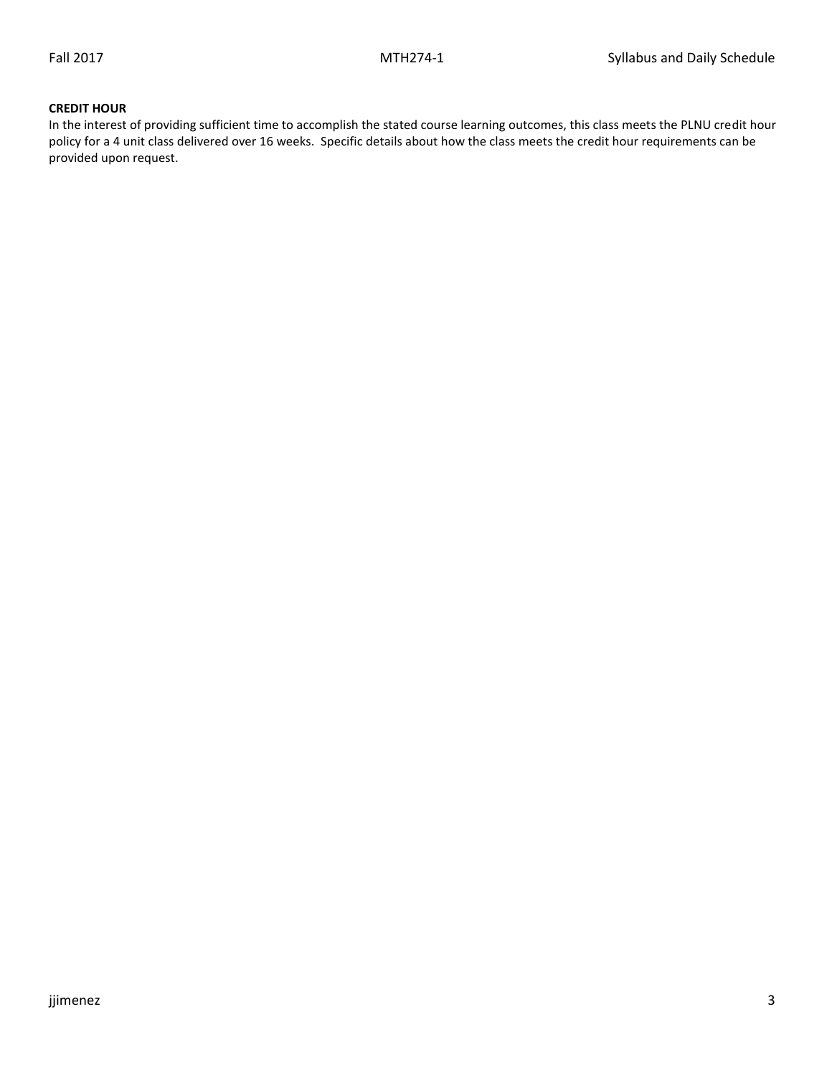### **CREDIT HOUR**

In the interest of providing sufficient time to accomplish the stated course learning outcomes, this class meets the PLNU credit hour policy for a 4 unit class delivered over 16 weeks. Specific details about how the class meets the credit hour requirements can be provided upon request.